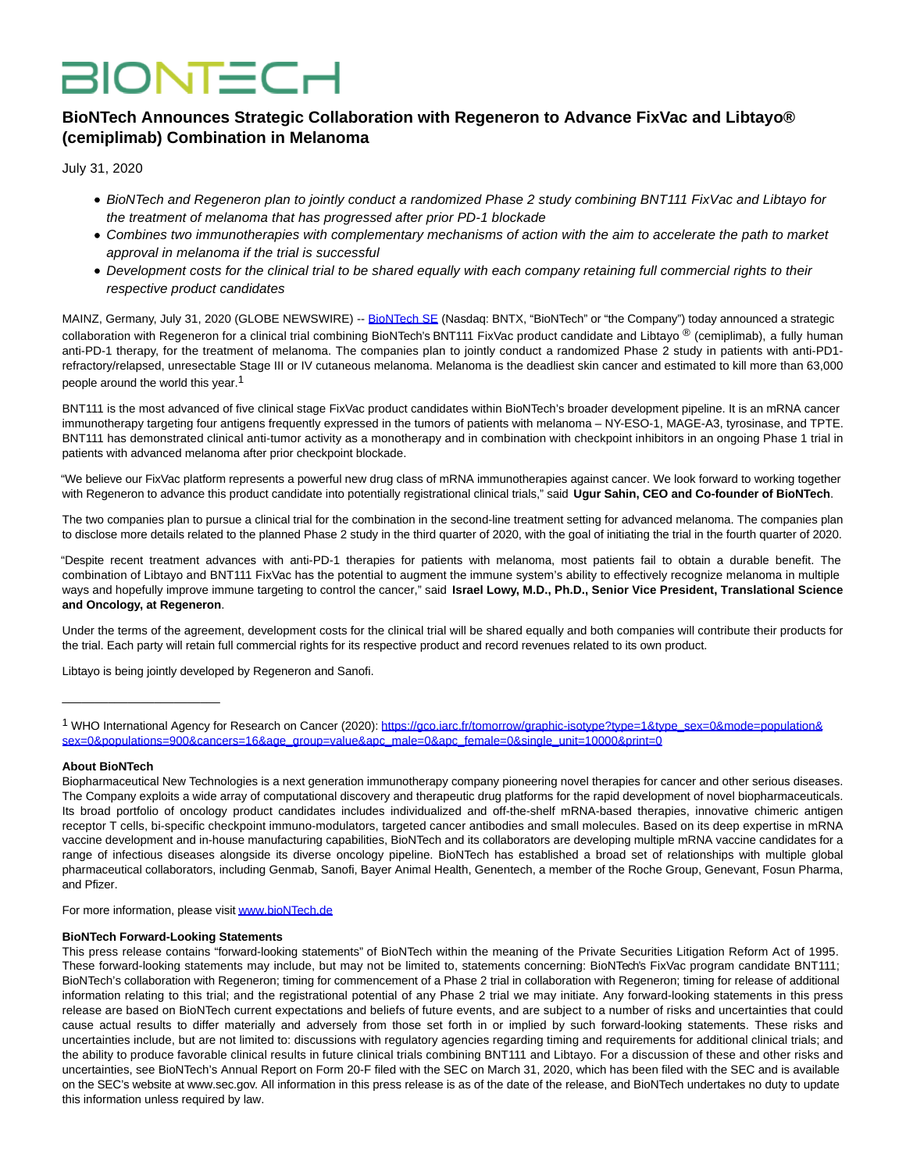# **BIONTECH**

# **BioNTech Announces Strategic Collaboration with Regeneron to Advance FixVac and Libtayo® (cemiplimab) Combination in Melanoma**

July 31, 2020

- BioNTech and Regeneron plan to jointly conduct a randomized Phase 2 study combining BNT111 FixVac and Libtayo for the treatment of melanoma that has progressed after prior PD-1 blockade
- Combines two immunotherapies with complementary mechanisms of action with the aim to accelerate the path to market approval in melanoma if the trial is successful
- Development costs for the clinical trial to be shared equally with each company retaining full commercial rights to their respective product candidates

MAINZ, Germany, July 31, 2020 (GLOBE NEWSWIRE) -- [BioNTech SE \(](https://www.globenewswire.com/Tracker?data=kICKo5dMP-SQ_SeMe1gY1KdoVwW5bnkhfGJFRoB5ICFJ4OuZW2gguyw-DEgCFuMsZkVJe6kCUZdfe6x1kBhoRQ==)Nasdaq: BNTX, "BioNTech" or "the Company") today announced a strategic collaboration with Regeneron for a clinical trial combining BioNTech's BNT111 FixVac product candidate and Libtayo ® (cemiplimab), a fully human anti-PD-1 therapy, for the treatment of melanoma. The companies plan to jointly conduct a randomized Phase 2 study in patients with anti-PD1 refractory/relapsed, unresectable Stage III or IV cutaneous melanoma. Melanoma is the deadliest skin cancer and estimated to kill more than 63,000 people around the world this year.<sup>1</sup>

BNT111 is the most advanced of five clinical stage FixVac product candidates within BioNTech's broader development pipeline. It is an mRNA cancer immunotherapy targeting four antigens frequently expressed in the tumors of patients with melanoma – NY-ESO-1, MAGE-A3, tyrosinase, and TPTE. BNT111 has demonstrated clinical anti-tumor activity as a monotherapy and in combination with checkpoint inhibitors in an ongoing Phase 1 trial in patients with advanced melanoma after prior checkpoint blockade.

"We believe our FixVac platform represents a powerful new drug class of mRNA immunotherapies against cancer. We look forward to working together with Regeneron to advance this product candidate into potentially registrational clinical trials," said **Ugur Sahin, CEO and Co-founder of BioNTech**.

The two companies plan to pursue a clinical trial for the combination in the second-line treatment setting for advanced melanoma. The companies plan to disclose more details related to the planned Phase 2 study in the third quarter of 2020, with the goal of initiating the trial in the fourth quarter of 2020.

"Despite recent treatment advances with anti-PD-1 therapies for patients with melanoma, most patients fail to obtain a durable benefit. The combination of Libtayo and BNT111 FixVac has the potential to augment the immune system's ability to effectively recognize melanoma in multiple ways and hopefully improve immune targeting to control the cancer," said **Israel Lowy, M.D., Ph.D., Senior Vice President, Translational Science and Oncology, at Regeneron**.

Under the terms of the agreement, development costs for the clinical trial will be shared equally and both companies will contribute their products for the trial. Each party will retain full commercial rights for its respective product and record revenues related to its own product.

Libtayo is being jointly developed by Regeneron and Sanofi.

#### **About BioNTech**

 $\frac{1}{2}$  ,  $\frac{1}{2}$  ,  $\frac{1}{2}$  ,  $\frac{1}{2}$  ,  $\frac{1}{2}$  ,  $\frac{1}{2}$  ,  $\frac{1}{2}$  ,  $\frac{1}{2}$  ,  $\frac{1}{2}$  ,  $\frac{1}{2}$  ,  $\frac{1}{2}$  ,  $\frac{1}{2}$  ,  $\frac{1}{2}$  ,  $\frac{1}{2}$  ,  $\frac{1}{2}$  ,  $\frac{1}{2}$  ,  $\frac{1}{2}$  ,  $\frac{1}{2}$  ,  $\frac{1$ 

Biopharmaceutical New Technologies is a next generation immunotherapy company pioneering novel therapies for cancer and other serious diseases. The Company exploits a wide array of computational discovery and therapeutic drug platforms for the rapid development of novel biopharmaceuticals. Its broad portfolio of oncology product candidates includes individualized and off-the-shelf mRNA-based therapies, innovative chimeric antigen receptor T cells, bi-specific checkpoint immuno-modulators, targeted cancer antibodies and small molecules. Based on its deep expertise in mRNA vaccine development and in-house manufacturing capabilities, BioNTech and its collaborators are developing multiple mRNA vaccine candidates for a range of infectious diseases alongside its diverse oncology pipeline. BioNTech has established a broad set of relationships with multiple global pharmaceutical collaborators, including Genmab, Sanofi, Bayer Animal Health, Genentech, a member of the Roche Group, Genevant, Fosun Pharma, and Pfizer.

For more information, please visi[t www.bioNTech.de](https://www.globenewswire.com/Tracker?data=YezArOWjHkFrcHUYNDJtsYW3zcP2IiirPk1L93h3-CJcSzPipDNOqVvfqWrxyRHd02nIKGYeA1q8sydK8TSF9w==)

#### **BioNTech Forward-Looking Statements**

This press release contains "forward-looking statements" of BioNTech within the meaning of the Private Securities Litigation Reform Act of 1995. These forward-looking statements may include, but may not be limited to, statements concerning: BioNTech's FixVac program candidate BNT111; BioNTech's collaboration with Regeneron; timing for commencement of a Phase 2 trial in collaboration with Regeneron; timing for release of additional information relating to this trial; and the registrational potential of any Phase 2 trial we may initiate. Any forward-looking statements in this press release are based on BioNTech current expectations and beliefs of future events, and are subject to a number of risks and uncertainties that could cause actual results to differ materially and adversely from those set forth in or implied by such forward-looking statements. These risks and uncertainties include, but are not limited to: discussions with regulatory agencies regarding timing and requirements for additional clinical trials; and the ability to produce favorable clinical results in future clinical trials combining BNT111 and Libtayo. For a discussion of these and other risks and uncertainties, see BioNTech's Annual Report on Form 20-F filed with the SEC on March 31, 2020, which has been filed with the SEC and is available on the SEC's website at www.sec.gov. All information in this press release is as of the date of the release, and BioNTech undertakes no duty to update this information unless required by law.

<sup>1</sup> WHO International Agency for Research on Cancer (2020): https://gco.jarc.fr/tomorrow/graphic-isotype?type=1&type\_sex=0&mode=population& sex=0&populations=900&cancers=16&age\_group=value&apc\_male=0&apc\_female=0&single\_unit=10000&print=0